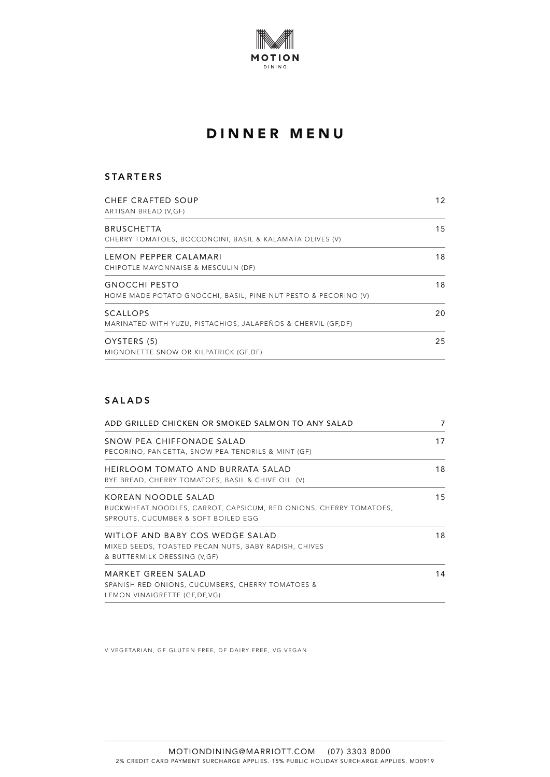

#### **STARTERS**

| <b>CHEF CRAFTED SOUP</b><br>ARTISAN BREAD (V,GF)                                       | 12 |
|----------------------------------------------------------------------------------------|----|
| <b>BRUSCHETTA</b><br>CHERRY TOMATOES, BOCCONCINI, BASIL & KALAMATA OLIVES (V)          | 15 |
| LEMON PEPPER CALAMARI<br>CHIPOTLE MAYONNAISE & MESCULIN (DF)                           | 18 |
| <b>GNOCCHI PESTO</b><br>HOME MADE POTATO GNOCCHI, BASIL, PINE NUT PESTO & PECORINO (V) | 18 |
| <b>SCALLOPS</b><br>MARINATED WITH YUZU, PISTACHIOS, JALAPEÑOS & CHERVIL (GF, DF)       | 20 |
| OYSTERS (5)<br>MIGNONETTE SNOW OR KILPATRICK (GF,DF)                                   | 25 |

### **SALADS**

| ADD GRILLED CHICKEN OR SMOKED SALMON TO ANY SALAD                                                                               |    |
|---------------------------------------------------------------------------------------------------------------------------------|----|
| SNOW PEA CHIFFONADE SALAD<br>PECORINO, PANCETTA, SNOW PEA TENDRILS & MINT (GF)                                                  | 17 |
| HEIRLOOM TOMATO AND BURRATA SALAD<br>RYE BREAD, CHERRY TOMATOES, BASIL & CHIVE OIL (V)                                          | 18 |
| KOREAN NOODLE SALAD<br>BUCKWHEAT NOODLES, CARROT, CAPSICUM, RED ONIONS, CHERRY TOMATOES,<br>SPROUTS, CUCUMBER & SOFT BOILED EGG | 15 |
| WITLOF AND BABY COS WEDGE SALAD<br>MIXED SEEDS, TOASTED PECAN NUTS, BABY RADISH, CHIVES<br>& BUTTERMILK DRESSING (V,GF)         | 18 |
| MARKET GREEN SALAD<br>SPANISH RED ONIONS, CUCUMBERS, CHERRY TOMATOES &<br>LEMON VINAIGRETTE (GF, DF, VG)                        | 14 |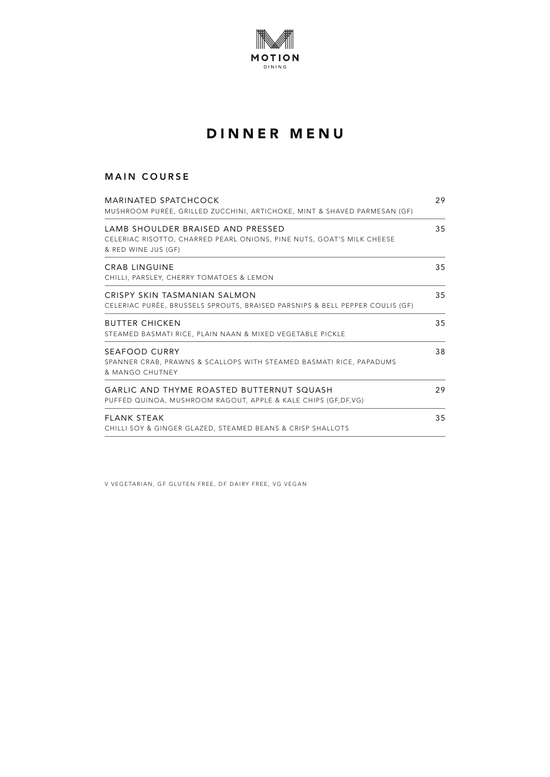

### MAIN COURSE

| MARINATED SPATCHCOCK<br>MUSHROOM PURÉE, GRILLED ZUCCHINI, ARTICHOKE, MINT & SHAVED PARMESAN (GF)                                  |    |
|-----------------------------------------------------------------------------------------------------------------------------------|----|
| LAMB SHOULDER BRAISED AND PRESSED<br>CELERIAC RISOTTO, CHARRED PEARL ONIONS, PINE NUTS, GOAT'S MILK CHEESE<br>& RED WINE JUS (GF) | 35 |
| <b>CRAB LINGUINE</b><br>CHILLI, PARSLEY, CHERRY TOMATOES & LEMON                                                                  | 35 |
| CRISPY SKIN TASMANIAN SALMON<br>CELERIAC PURÉE, BRUSSELS SPROUTS, BRAISED PARSNIPS & BELL PEPPER COULIS (GF)                      | 35 |
| <b>BUTTER CHICKEN</b><br>STEAMED BASMATI RICE, PLAIN NAAN & MIXED VEGETABLE PICKLE                                                | 35 |
| SEAFOOD CURRY<br>SPANNER CRAB, PRAWNS & SCALLOPS WITH STEAMED BASMATI RICE, PAPADUMS<br>& MANGO CHUTNEY                           | 38 |
| GARLIC AND THYME ROASTED BUTTERNUT SQUASH<br>PUFFED QUINOA, MUSHROOM RAGOUT, APPLE & KALE CHIPS (GF, DF, VG)                      | 29 |
| <b>FLANK STEAK</b><br>CHILLI SOY & GINGER GLAZED, STEAMED BEANS & CRISP SHALLOTS                                                  | 35 |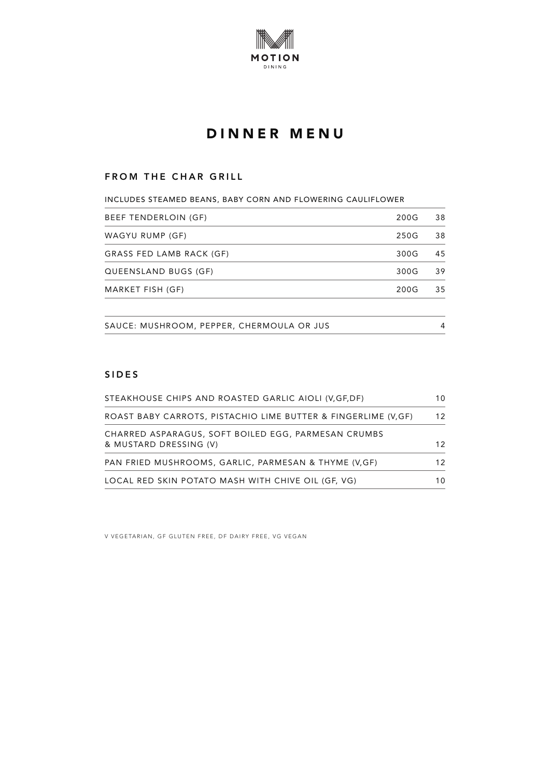

#### FROM THE CHAR GRILL

| INCLUDES STEAMED BEANS, BABY CORN AND FLOWERING CAULIFLOWER |      |    |
|-------------------------------------------------------------|------|----|
| BEEF TENDERLOIN (GF)                                        | 200G | 38 |
| WAGYU RUMP (GF)                                             | 250G | 38 |
| GRASS FED LAMB RACK (GF)                                    | 300G | 45 |
| QUEENSLAND BUGS (GF)                                        | 300G | 39 |
| MARKET FISH (GF)                                            | 200G | 35 |
|                                                             |      |    |
| SAUCE: MUSHROOM, PEPPER, CHERMOULA OR JUS                   |      | 4  |

### **SIDES**

| STEAKHOUSE CHIPS AND ROASTED GARLIC AIOLI (V, GF, DF)                         |    |
|-------------------------------------------------------------------------------|----|
| ROAST BABY CARROTS, PISTACHIO LIME BUTTER & FINGERLIME (V,GF)                 | 12 |
| CHARRED ASPARAGUS, SOFT BOILED EGG, PARMESAN CRUMBS<br>& MUSTARD DRESSING (V) | 12 |
| PAN FRIED MUSHROOMS, GARLIC, PARMESAN & THYME (V,GF)                          | 12 |
| LOCAL RED SKIN POTATO MASH WITH CHIVE OIL (GF, VG)                            | 10 |